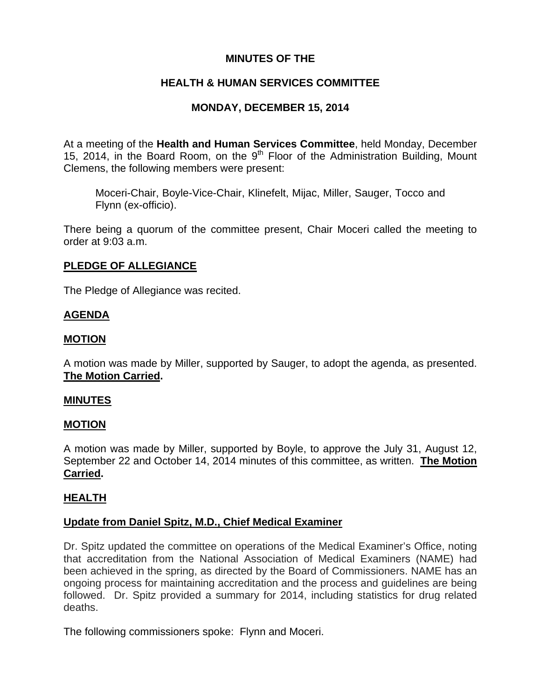# **MINUTES OF THE**

# **HEALTH & HUMAN SERVICES COMMITTEE**

# **MONDAY, DECEMBER 15, 2014**

At a meeting of the **Health and Human Services Committee**, held Monday, December 15, 2014, in the Board Room, on the  $9<sup>th</sup>$  Floor of the Administration Building, Mount Clemens, the following members were present:

Moceri-Chair, Boyle-Vice-Chair, Klinefelt, Mijac, Miller, Sauger, Tocco and Flynn (ex-officio).

There being a quorum of the committee present, Chair Moceri called the meeting to order at 9:03 a.m.

# **PLEDGE OF ALLEGIANCE**

The Pledge of Allegiance was recited.

# **AGENDA**

# **MOTION**

A motion was made by Miller, supported by Sauger, to adopt the agenda, as presented. **The Motion Carried.** 

## **MINUTES**

## **MOTION**

A motion was made by Miller, supported by Boyle, to approve the July 31, August 12, September 22 and October 14, 2014 minutes of this committee, as written. **The Motion Carried.** 

# **HEALTH**

## **Update from Daniel Spitz, M.D., Chief Medical Examiner**

Dr. Spitz updated the committee on operations of the Medical Examiner's Office, noting that accreditation from the National Association of Medical Examiners (NAME) had been achieved in the spring, as directed by the Board of Commissioners. NAME has an ongoing process for maintaining accreditation and the process and guidelines are being followed. Dr. Spitz provided a summary for 2014, including statistics for drug related deaths.

The following commissioners spoke: Flynn and Moceri.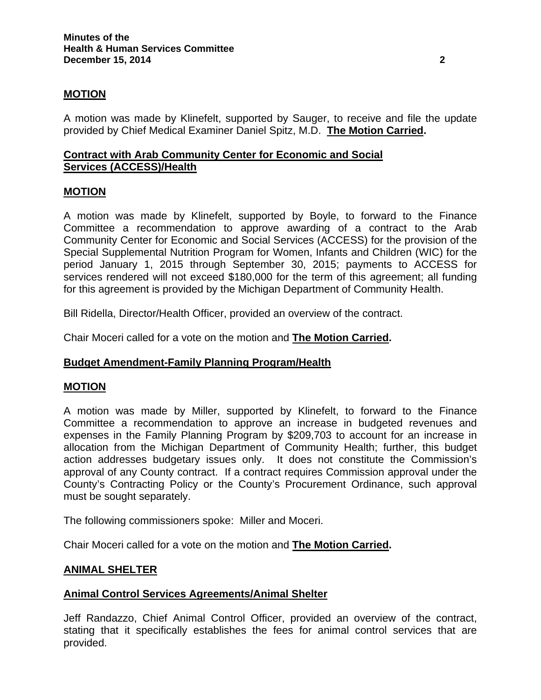# **MOTION**

A motion was made by Klinefelt, supported by Sauger, to receive and file the update provided by Chief Medical Examiner Daniel Spitz, M.D. **The Motion Carried.** 

# **Contract with Arab Community Center for Economic and Social Services (ACCESS)/Health**

### **MOTION**

A motion was made by Klinefelt, supported by Boyle, to forward to the Finance Committee a recommendation to approve awarding of a contract to the Arab Community Center for Economic and Social Services (ACCESS) for the provision of the Special Supplemental Nutrition Program for Women, Infants and Children (WIC) for the period January 1, 2015 through September 30, 2015; payments to ACCESS for services rendered will not exceed \$180,000 for the term of this agreement; all funding for this agreement is provided by the Michigan Department of Community Health.

Bill Ridella, Director/Health Officer, provided an overview of the contract.

Chair Moceri called for a vote on the motion and **The Motion Carried.**

## **Budget Amendment-Family Planning Program/Health**

### **MOTION**

A motion was made by Miller, supported by Klinefelt, to forward to the Finance Committee a recommendation to approve an increase in budgeted revenues and expenses in the Family Planning Program by \$209,703 to account for an increase in allocation from the Michigan Department of Community Health; further, this budget action addresses budgetary issues only. It does not constitute the Commission's approval of any County contract. If a contract requires Commission approval under the County's Contracting Policy or the County's Procurement Ordinance, such approval must be sought separately.

The following commissioners spoke: Miller and Moceri.

Chair Moceri called for a vote on the motion and **The Motion Carried.**

### **ANIMAL SHELTER**

## **Animal Control Services Agreements/Animal Shelter**

Jeff Randazzo, Chief Animal Control Officer, provided an overview of the contract, stating that it specifically establishes the fees for animal control services that are provided.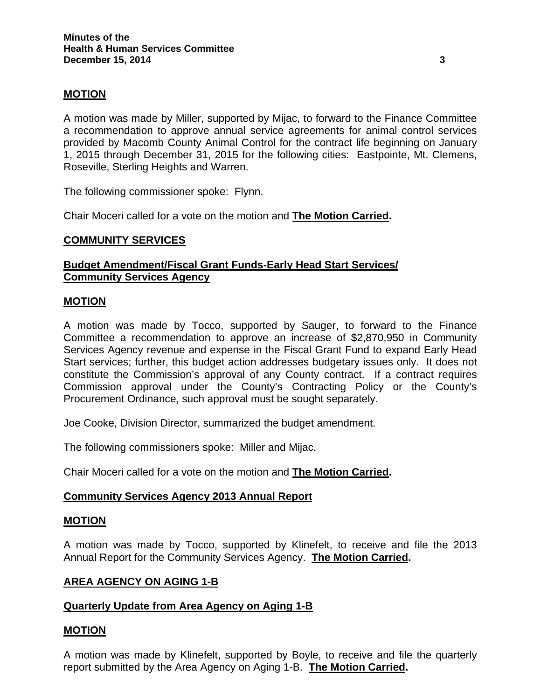# **MOTION**

A motion was made by Miller, supported by Mijac, to forward to the Finance Committee a recommendation to approve annual service agreements for animal control services provided by Macomb County Animal Control for the contract life beginning on January 1, 2015 through December 31, 2015 for the following cities: Eastpointe, Mt. Clemens, Roseville, Sterling Heights and Warren.

The following commissioner spoke: Flynn.

Chair Moceri called for a vote on the motion and **The Motion Carried.**

## **COMMUNITY SERVICES**

# **Budget Amendment/Fiscal Grant Funds-Early Head Start Services/ Community Services Agency**

### **MOTION**

A motion was made by Tocco, supported by Sauger, to forward to the Finance Committee a recommendation to approve an increase of \$2,870,950 in Community Services Agency revenue and expense in the Fiscal Grant Fund to expand Early Head Start services; further, this budget action addresses budgetary issues only. It does not constitute the Commission's approval of any County contract. If a contract requires Commission approval under the County's Contracting Policy or the County's Procurement Ordinance, such approval must be sought separately.

Joe Cooke, Division Director, summarized the budget amendment.

The following commissioners spoke: Miller and Mijac.

Chair Moceri called for a vote on the motion and **The Motion Carried.**

## **Community Services Agency 2013 Annual Report**

### **MOTION**

A motion was made by Tocco, supported by Klinefelt, to receive and file the 2013 Annual Report for the Community Services Agency. **The Motion Carried.** 

### **AREA AGENCY ON AGING 1-B**

## **Quarterly Update from Area Agency on Aging 1-B**

## **MOTION**

A motion was made by Klinefelt, supported by Boyle, to receive and file the quarterly report submitted by the Area Agency on Aging 1-B. **The Motion Carried.**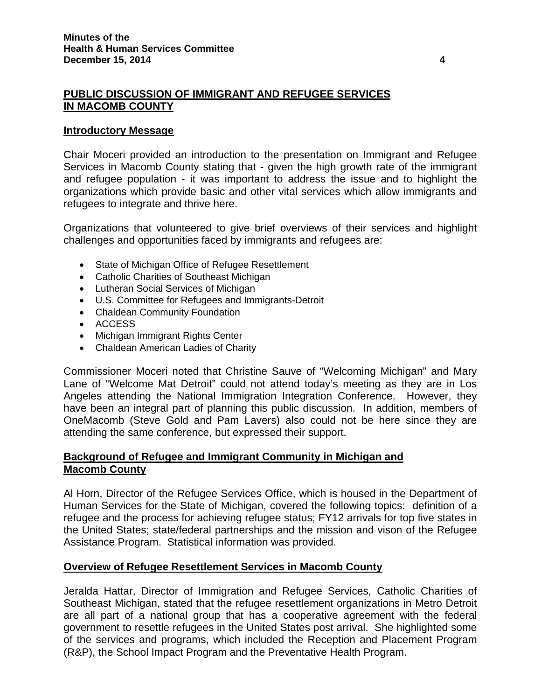# **PUBLIC DISCUSSION OF IMMIGRANT AND REFUGEE SERVICES IN MACOMB COUNTY**

## **Introductory Message**

Chair Moceri provided an introduction to the presentation on Immigrant and Refugee Services in Macomb County stating that - given the high growth rate of the immigrant and refugee population - it was important to address the issue and to highlight the organizations which provide basic and other vital services which allow immigrants and refugees to integrate and thrive here.

Organizations that volunteered to give brief overviews of their services and highlight challenges and opportunities faced by immigrants and refugees are:

- State of Michigan Office of Refugee Resettlement
- Catholic Charities of Southeast Michigan
- Lutheran Social Services of Michigan
- U.S. Committee for Refugees and Immigrants-Detroit
- Chaldean Community Foundation
- ACCESS
- Michigan Immigrant Rights Center
- Chaldean American Ladies of Charity

Commissioner Moceri noted that Christine Sauve of "Welcoming Michigan" and Mary Lane of "Welcome Mat Detroit" could not attend today's meeting as they are in Los Angeles attending the National Immigration Integration Conference. However, they have been an integral part of planning this public discussion. In addition, members of OneMacomb (Steve Gold and Pam Lavers) also could not be here since they are attending the same conference, but expressed their support.

# **Background of Refugee and Immigrant Community in Michigan and Macomb County**

Al Horn, Director of the Refugee Services Office, which is housed in the Department of Human Services for the State of Michigan, covered the following topics: definition of a refugee and the process for achieving refugee status; FY12 arrivals for top five states in the United States; state/federal partnerships and the mission and vison of the Refugee Assistance Program. Statistical information was provided.

## **Overview of Refugee Resettlement Services in Macomb County**

Jeralda Hattar, Director of Immigration and Refugee Services, Catholic Charities of Southeast Michigan, stated that the refugee resettlement organizations in Metro Detroit are all part of a national group that has a cooperative agreement with the federal government to resettle refugees in the United States post arrival. She highlighted some of the services and programs, which included the Reception and Placement Program (R&P), the School Impact Program and the Preventative Health Program.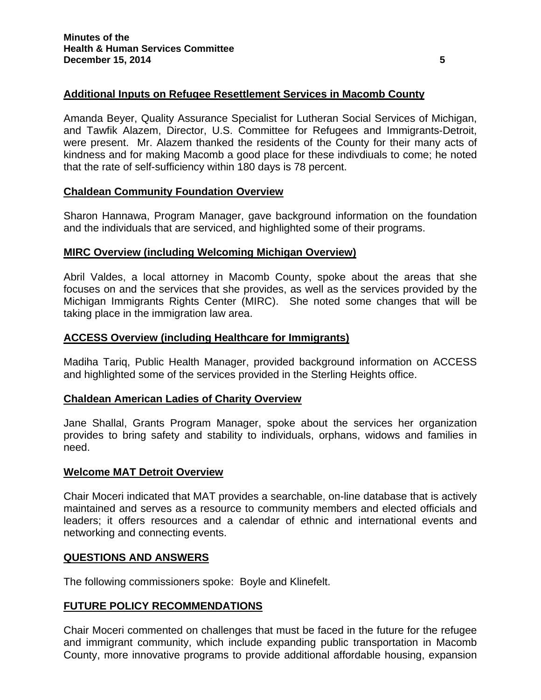# **Additional Inputs on Refugee Resettlement Services in Macomb County**

Amanda Beyer, Quality Assurance Specialist for Lutheran Social Services of Michigan, and Tawfik Alazem, Director, U.S. Committee for Refugees and Immigrants-Detroit, were present. Mr. Alazem thanked the residents of the County for their many acts of kindness and for making Macomb a good place for these indivdiuals to come; he noted that the rate of self-sufficiency within 180 days is 78 percent.

## **Chaldean Community Foundation Overview**

Sharon Hannawa, Program Manager, gave background information on the foundation and the individuals that are serviced, and highlighted some of their programs.

## **MIRC Overview (including Welcoming Michigan Overview)**

Abril Valdes, a local attorney in Macomb County, spoke about the areas that she focuses on and the services that she provides, as well as the services provided by the Michigan Immigrants Rights Center (MIRC). She noted some changes that will be taking place in the immigration law area.

# **ACCESS Overview (including Healthcare for Immigrants)**

Madiha Tariq, Public Health Manager, provided background information on ACCESS and highlighted some of the services provided in the Sterling Heights office.

## **Chaldean American Ladies of Charity Overview**

Jane Shallal, Grants Program Manager, spoke about the services her organization provides to bring safety and stability to individuals, orphans, widows and families in need.

## **Welcome MAT Detroit Overview**

Chair Moceri indicated that MAT provides a searchable, on-line database that is actively maintained and serves as a resource to community members and elected officials and leaders; it offers resources and a calendar of ethnic and international events and networking and connecting events.

## **QUESTIONS AND ANSWERS**

The following commissioners spoke: Boyle and Klinefelt.

## **FUTURE POLICY RECOMMENDATIONS**

Chair Moceri commented on challenges that must be faced in the future for the refugee and immigrant community, which include expanding public transportation in Macomb County, more innovative programs to provide additional affordable housing, expansion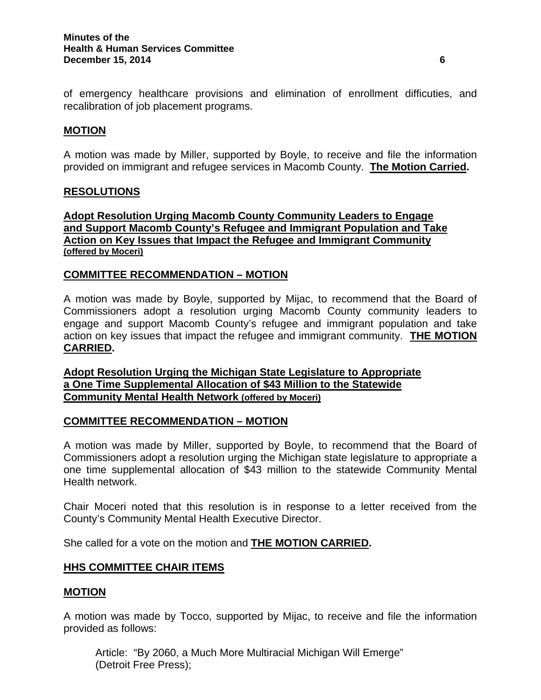of emergency healthcare provisions and elimination of enrollment difficuties, and recalibration of job placement programs.

# **MOTION**

A motion was made by Miller, supported by Boyle, to receive and file the information provided on immigrant and refugee services in Macomb County. **The Motion Carried.** 

## **RESOLUTIONS**

**Adopt Resolution Urging Macomb County Community Leaders to Engage and Support Macomb County's Refugee and Immigrant Population and Take Action on Key Issues that Impact the Refugee and Immigrant Community (offered by Moceri)**

# **COMMITTEE RECOMMENDATION – MOTION**

A motion was made by Boyle, supported by Mijac, to recommend that the Board of Commissioners adopt a resolution urging Macomb County community leaders to engage and support Macomb County's refugee and immigrant population and take action on key issues that impact the refugee and immigrant community. **THE MOTION CARRIED.** 

**Adopt Resolution Urging the Michigan State Legislature to Appropriate a One Time Supplemental Allocation of \$43 Million to the Statewide Community Mental Health Network (offered by Moceri)**

## **COMMITTEE RECOMMENDATION – MOTION**

A motion was made by Miller, supported by Boyle, to recommend that the Board of Commissioners adopt a resolution urging the Michigan state legislature to appropriate a one time supplemental allocation of \$43 million to the statewide Community Mental Health network.

Chair Moceri noted that this resolution is in response to a letter received from the County's Community Mental Health Executive Director.

She called for a vote on the motion and **THE MOTION CARRIED.**

## **HHS COMMITTEE CHAIR ITEMS**

## **MOTION**

A motion was made by Tocco, supported by Mijac, to receive and file the information provided as follows:

Article: "By 2060, a Much More Multiracial Michigan Will Emerge" (Detroit Free Press);